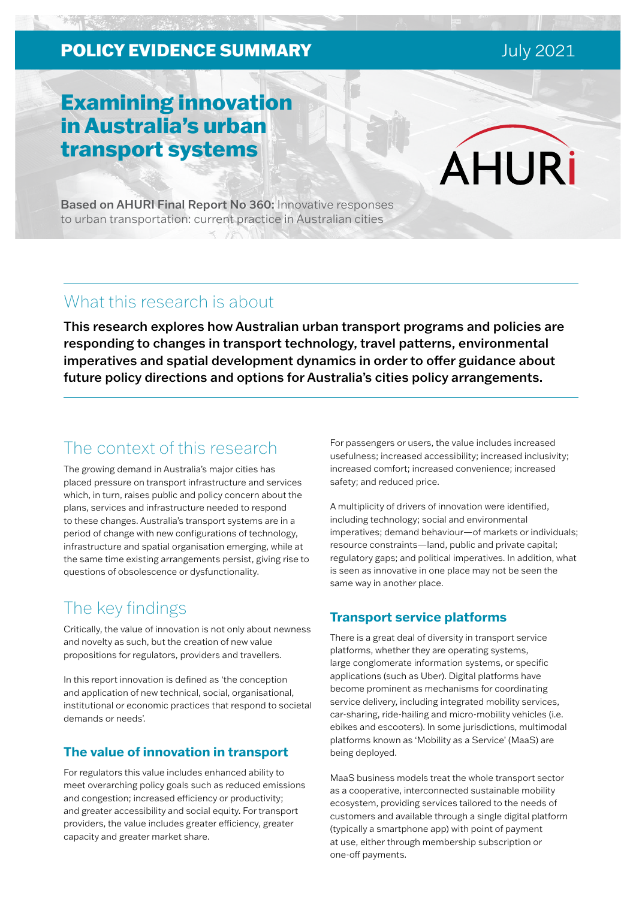# **POLICY EVIDENCE SUMMARY EVIDENCE SUMMARY EVIDENCE**

# Examining innovation in Australia's urban transport systems

Based on AHURI Final Report No 360: Innovative responses to urban transportation: current practice in Australian cities

# What this research is about

This research explores how Australian urban transport programs and policies are responding to changes in transport technology, travel patterns, environmental imperatives and spatial development dynamics in order to offer guidance about future policy directions and options for Australia's cities policy arrangements.

# The context of this research

The growing demand in Australia's major cities has placed pressure on transport infrastructure and services which, in turn, raises public and policy concern about the plans, services and infrastructure needed to respond to these changes. Australia's transport systems are in a period of change with new configurations of technology, infrastructure and spatial organisation emerging, while at the same time existing arrangements persist, giving rise to questions of obsolescence or dysfunctionality.

# The key findings

Critically, the value of innovation is not only about newness and novelty as such, but the creation of new value propositions for regulators, providers and travellers.

In this report innovation is defined as 'the conception and application of new technical, social, organisational, institutional or economic practices that respond to societal demands or needs'.

### **The value of innovation in transport**

For regulators this value includes enhanced ability to meet overarching policy goals such as reduced emissions and congestion; increased efficiency or productivity; and greater accessibility and social equity. For transport providers, the value includes greater efficiency, greater capacity and greater market share.

For passengers or users, the value includes increased usefulness; increased accessibility; increased inclusivity; increased comfort; increased convenience; increased safety; and reduced price.

A multiplicity of drivers of innovation were identified, including technology; social and environmental imperatives; demand behaviour—of markets or individuals; resource constraints—land, public and private capital; regulatory gaps; and political imperatives. In addition, what is seen as innovative in one place may not be seen the same way in another place.

### **Transport service platforms**

There is a great deal of diversity in transport service platforms, whether they are operating systems, large conglomerate information systems, or specific applications (such as Uber). Digital platforms have become prominent as mechanisms for coordinating service delivery, including integrated mobility services, car-sharing, ride-hailing and micro-mobility vehicles (i.e. ebikes and escooters). In some jurisdictions, multimodal platforms known as 'Mobility as a Service' (MaaS) are being deployed.

MaaS business models treat the whole transport sector as a cooperative, interconnected sustainable mobility ecosystem, providing services tailored to the needs of customers and available through a single digital platform (typically a smartphone app) with point of payment at use, either through membership subscription or one-off payments.

**AHURi**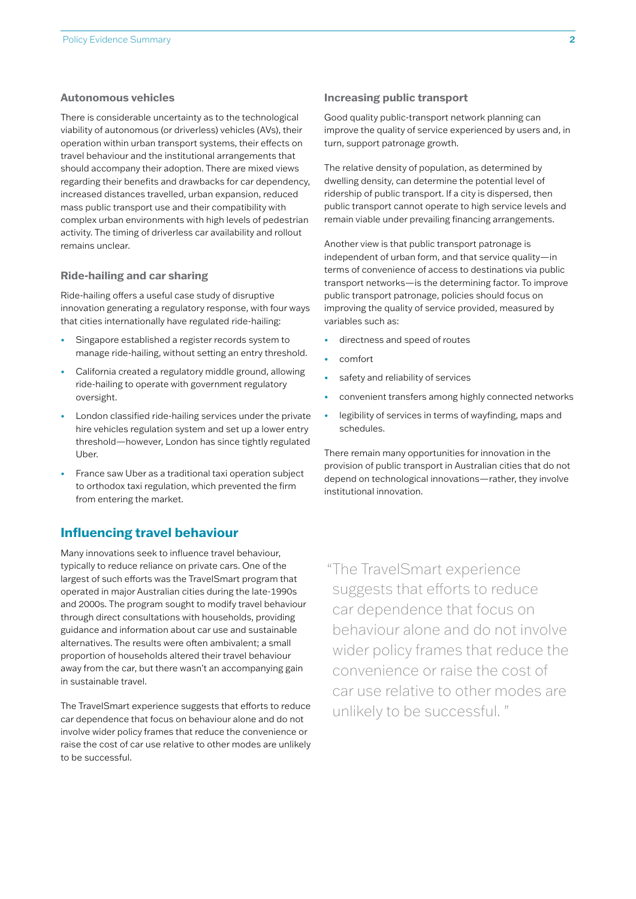#### **Autonomous vehicles**

There is considerable uncertainty as to the technological viability of autonomous (or driverless) vehicles (AVs), their operation within urban transport systems, their effects on travel behaviour and the institutional arrangements that should accompany their adoption. There are mixed views regarding their benefits and drawbacks for car dependency, increased distances travelled, urban expansion, reduced mass public transport use and their compatibility with complex urban environments with high levels of pedestrian activity. The timing of driverless car availability and rollout remains unclear.

#### **Ride-hailing and car sharing**

Ride-hailing offers a useful case study of disruptive innovation generating a regulatory response, with four ways that cities internationally have regulated ride-hailing:

- Singapore established a register records system to manage ride-hailing, without setting an entry threshold.
- California created a regulatory middle ground, allowing ride-hailing to operate with government regulatory oversight.
- London classified ride-hailing services under the private hire vehicles regulation system and set up a lower entry threshold—however, London has since tightly regulated Uber.
- France saw Uber as a traditional taxi operation subject to orthodox taxi regulation, which prevented the firm from entering the market.

### **Influencing travel behaviour**

Many innovations seek to influence travel behaviour, typically to reduce reliance on private cars. One of the largest of such efforts was the TravelSmart program that operated in major Australian cities during the late-1990s and 2000s. The program sought to modify travel behaviour through direct consultations with households, providing guidance and information about car use and sustainable alternatives. The results were often ambivalent; a small proportion of households altered their travel behaviour away from the car, but there wasn't an accompanying gain in sustainable travel.

The TravelSmart experience suggests that efforts to reduce car dependence that focus on behaviour alone and do not involve wider policy frames that reduce the convenience or raise the cost of car use relative to other modes are unlikely to be successful.

#### **Increasing public transport**

Good quality public-transport network planning can improve the quality of service experienced by users and, in turn, support patronage growth.

The relative density of population, as determined by dwelling density, can determine the potential level of ridership of public transport. If a city is dispersed, then public transport cannot operate to high service levels and remain viable under prevailing financing arrangements.

Another view is that public transport patronage is independent of urban form, and that service quality—in terms of convenience of access to destinations via public transport networks—is the determining factor. To improve public transport patronage, policies should focus on improving the quality of service provided, measured by variables such as:

- directness and speed of routes
- comfort
- safety and reliability of services
- convenient transfers among highly connected networks
- legibility of services in terms of wayfinding, maps and schedules.

There remain many opportunities for innovation in the provision of public transport in Australian cities that do not depend on technological innovations—rather, they involve institutional innovation.

"The TravelSmart experience suggests that efforts to reduce car dependence that focus on behaviour alone and do not involve wider policy frames that reduce the convenience or raise the cost of car use relative to other modes are unlikely to be successful. "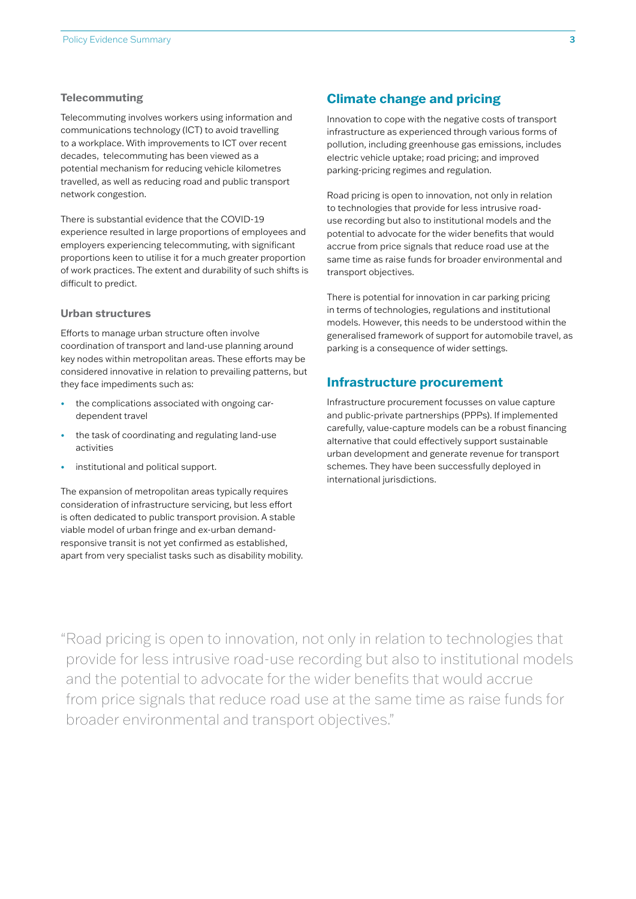#### **Telecommuting**

Telecommuting involves workers using information and communications technology (ICT) to avoid travelling to a workplace. With improvements to ICT over recent decades, telecommuting has been viewed as a potential mechanism for reducing vehicle kilometres travelled, as well as reducing road and public transport network congestion.

There is substantial evidence that the COVID-19 experience resulted in large proportions of employees and employers experiencing telecommuting, with significant proportions keen to utilise it for a much greater proportion of work practices. The extent and durability of such shifts is difficult to predict.

#### **Urban structures**

Efforts to manage urban structure often involve coordination of transport and land-use planning around key nodes within metropolitan areas. These efforts may be considered innovative in relation to prevailing patterns, but they face impediments such as:

- the complications associated with ongoing cardependent travel
- the task of coordinating and regulating land-use activities
- institutional and political support.

The expansion of metropolitan areas typically requires consideration of infrastructure servicing, but less effort is often dedicated to public transport provision. A stable viable model of urban fringe and ex-urban demandresponsive transit is not yet confirmed as established, apart from very specialist tasks such as disability mobility.

### **Climate change and pricing**

Innovation to cope with the negative costs of transport infrastructure as experienced through various forms of pollution, including greenhouse gas emissions, includes electric vehicle uptake; road pricing; and improved parking-pricing regimes and regulation.

Road pricing is open to innovation, not only in relation to technologies that provide for less intrusive roaduse recording but also to institutional models and the potential to advocate for the wider benefits that would accrue from price signals that reduce road use at the same time as raise funds for broader environmental and transport objectives.

There is potential for innovation in car parking pricing in terms of technologies, regulations and institutional models. However, this needs to be understood within the generalised framework of support for automobile travel, as parking is a consequence of wider settings.

### **Infrastructure procurement**

Infrastructure procurement focusses on value capture and public-private partnerships (PPPs). If implemented carefully, value-capture models can be a robust financing alternative that could effectively support sustainable urban development and generate revenue for transport schemes. They have been successfully deployed in international jurisdictions.

"Road pricing is open to innovation, not only in relation to technologies that provide for less intrusive road-use recording but also to institutional models and the potential to advocate for the wider benefits that would accrue from price signals that reduce road use at the same time as raise funds for broader environmental and transport objectives."